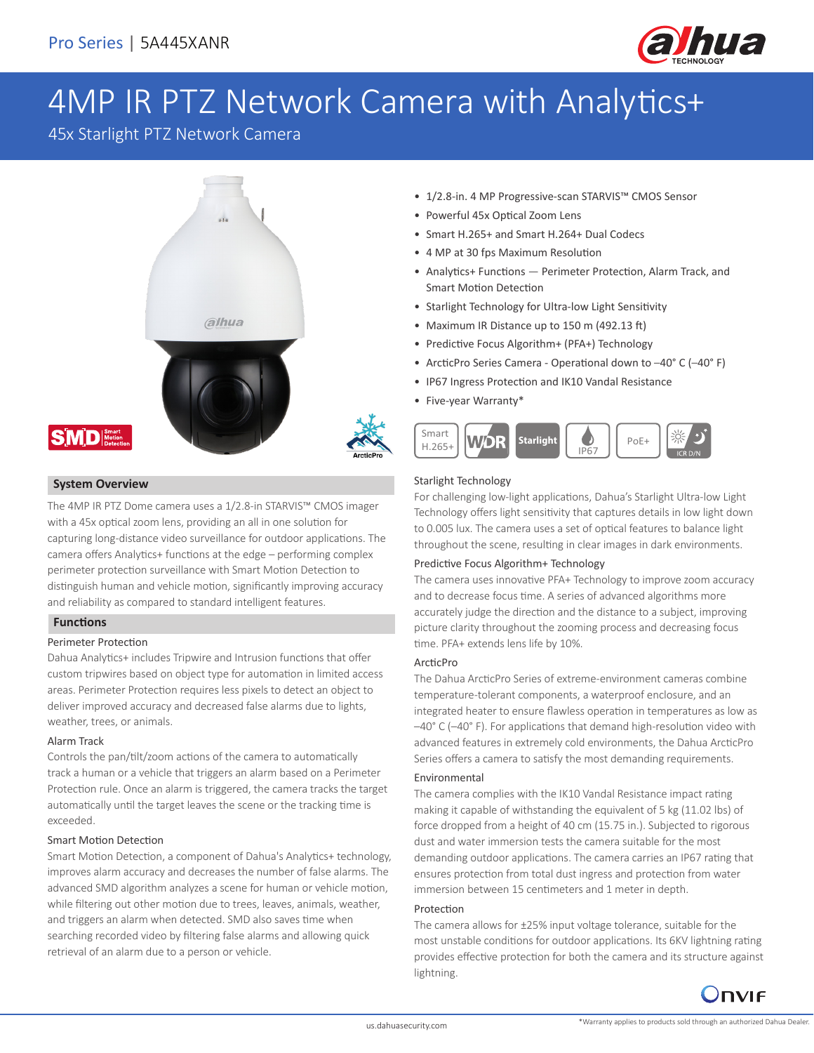

# 4MP IR PTZ Network Camera with Analytics+

45x Starlight PTZ Network Camera



# $SMD_{\text{Moto}}^{\text{Smar}}$

### **System Overview**

The 4MP IR PTZ Dome camera uses a 1/2.8-in STARVIS™ CMOS imager with a 45x optical zoom lens, providing an all in one solution for capturing long-distance video surveillance for outdoor applications. The camera offers Analytics+ functions at the edge – performing complex perimeter protection surveillance with Smart Motion Detection to distinguish human and vehicle motion, significantly improving accuracy and reliability as compared to standard intelligent features.

### **Functions**

### Perimeter Protection

Dahua Analytics+ includes Tripwire and Intrusion functions that offer custom tripwires based on object type for automation in limited access areas. Perimeter Protection requires less pixels to detect an object to deliver improved accuracy and decreased false alarms due to lights, weather, trees, or animals.

### Alarm Track

Controls the pan/tilt/zoom actions of the camera to automatically track a human or a vehicle that triggers an alarm based on a Perimeter Protection rule. Once an alarm is triggered, the camera tracks the target automatically until the target leaves the scene or the tracking time is exceeded.

### Smart Motion Detection

Smart Motion Detection, a component of Dahua's Analytics+ technology, improves alarm accuracy and decreases the number of false alarms. The advanced SMD algorithm analyzes a scene for human or vehicle motion, while filtering out other motion due to trees, leaves, animals, weather, and triggers an alarm when detected. SMD also saves time when searching recorded video by filtering false alarms and allowing quick retrieval of an alarm due to a person or vehicle.

- 1/2.8-in. 4 MP Progressive-scan STARVIS™ CMOS Sensor
- Powerful 45x Optical Zoom Lens
- Smart H.265+ and Smart H.264+ Dual Codecs
- 4 MP at 30 fps Maximum Resolution
- Analytics+ Functions Perimeter Protection, Alarm Track, and Smart Motion Detection
- Starlight Technology for Ultra-low Light Sensitivity
- Maximum IR Distance up to 150 m (492.13 ft)
- Predictive Focus Algorithm+ (PFA+) Technology
- ArcticPro Series Camera Operational down to –40° C (–40° F)
- IP67 Ingress Protection and IK10 Vandal Resistance
- Five-year Warranty\*



### Starlight Technology

For challenging low-light applications, Dahua's Starlight Ultra-low Light Technology offers light sensitivity that captures details in low light down to 0.005 lux. The camera uses a set of optical features to balance light throughout the scene, resulting in clear images in dark environments.

### Predictive Focus Algorithm+ Technology

The camera uses innovative PFA+ Technology to improve zoom accuracy and to decrease focus time. A series of advanced algorithms more accurately judge the direction and the distance to a subject, improving picture clarity throughout the zooming process and decreasing focus time. PFA+ extends lens life by 10%.

### ArcticPro

The Dahua ArcticPro Series of extreme-environment cameras combine temperature-tolerant components, a waterproof enclosure, and an integrated heater to ensure flawless operation in temperatures as low as –40° C (–40° F). For applications that demand high-resolution video with advanced features in extremely cold environments, the Dahua ArcticPro Series offers a camera to satisfy the most demanding requirements.

### Environmental

The camera complies with the IK10 Vandal Resistance impact rating making it capable of withstanding the equivalent of 5 kg (11.02 lbs) of force dropped from a height of 40 cm (15.75 in.). Subjected to rigorous dust and water immersion tests the camera suitable for the most demanding outdoor applications. The camera carries an IP67 rating that ensures protection from total dust ingress and protection from water immersion between 15 centimeters and 1 meter in depth.

### Protection

The camera allows for ±25% input voltage tolerance, suitable for the most unstable conditions for outdoor applications. Its 6KV lightning rating provides effective protection for both the camera and its structure against lightning.



us.dahuasecurity.com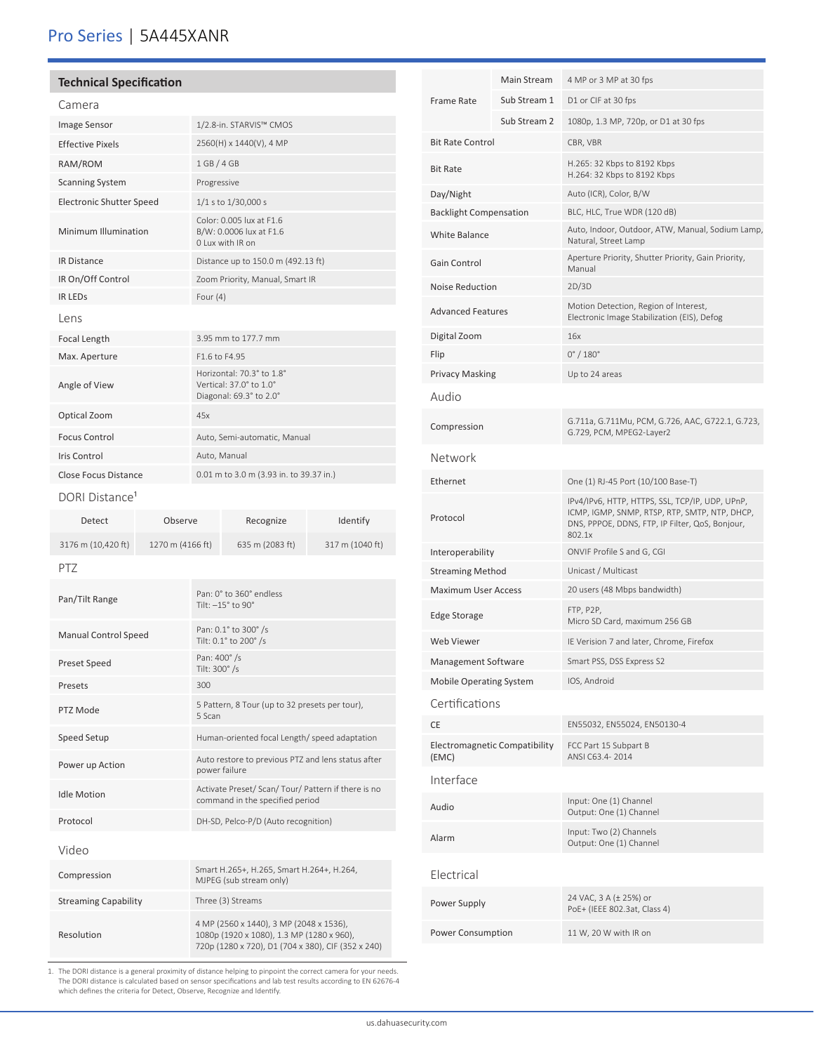# Pro Series | 5A445XANR

#### **Technical Specification**

| Camera                          |         |                                                                                 |                                                                         |  |  |
|---------------------------------|---------|---------------------------------------------------------------------------------|-------------------------------------------------------------------------|--|--|
| Image Sensor                    |         |                                                                                 | 1/2.8-in. STARVIS™ CMOS                                                 |  |  |
| <b>Effective Pixels</b>         |         |                                                                                 | 2560(H) x 1440(V), 4 MP                                                 |  |  |
| RAM/ROM                         |         |                                                                                 | 1 GB/4 GB                                                               |  |  |
| <b>Scanning System</b>          |         |                                                                                 | Progressive                                                             |  |  |
| <b>Electronic Shutter Speed</b> |         | 1/1 s to 1/30,000 s                                                             |                                                                         |  |  |
| Minimum Illumination            |         |                                                                                 | Color: 0.005 lux at F1.6<br>B/W: 0.0006 lux at F1.6<br>O Lux with IR on |  |  |
| <b>IR Distance</b>              |         |                                                                                 | Distance up to 150.0 m (492.13 ft)                                      |  |  |
| IR On/Off Control               |         |                                                                                 | Zoom Priority, Manual, Smart IR                                         |  |  |
| <b>IR LEDS</b>                  |         | Four $(4)$                                                                      |                                                                         |  |  |
| Lens                            |         |                                                                                 |                                                                         |  |  |
| Focal Length                    |         |                                                                                 | 3.95 mm to 177.7 mm                                                     |  |  |
| Max. Aperture                   |         |                                                                                 | F1.6 to F4.95                                                           |  |  |
| Angle of View                   |         | Horizontal: 70.3° to 1.8°<br>Vertical: 37.0° to 1.0°<br>Diagonal: 69.3° to 2.0° |                                                                         |  |  |
| Optical Zoom                    |         |                                                                                 | 45x                                                                     |  |  |
| <b>Focus Control</b>            |         |                                                                                 | Auto, Semi-automatic, Manual                                            |  |  |
| Iris Control                    |         |                                                                                 | Auto, Manual                                                            |  |  |
| <b>Close Focus Distance</b>     |         | 0.01 m to 3.0 m (3.93 in. to 39.37 in.)                                         |                                                                         |  |  |
| DORI Distance <sup>1</sup>      |         |                                                                                 |                                                                         |  |  |
| Detect                          | Observe |                                                                                 | Recognize<br>Identify                                                   |  |  |

### 3176 m (10,420 ft) 1270 m (4166 ft) 635 m (2083 ft) 317 m (1040 ft) PTZ Pan/Tilt Range Pan: 0° to 360° endless Tilt: –15° to 90° Manual Control Speed<br>
Tike 0.1° to 300° /s Tilt: 0.1° to 200° /s Preset Speed Pan: 400° /s Tilt: 300° /s Presets 300 PTZ Mode 5 Pattern, 8 Tour (up to 32 presets per tour), 5 Scan Speed Setup **Human-oriented focal Length**/ speed adaptation Power up Action Autorestore to previous PTZ and lens status after power failure Idle Motion Activate Preset/ Scan/ Tour/ Pattern if there is no command in the specified period Protocol DH-SD, Pelco-P/D (Auto recognition) Video Compression Smart H.265+, H.265, Smart H.264+, H.264, MJPEG (sub stream only) Streaming Capability Three (3) Streams Resolution 4 MP (2560 x 1440), 3 MP (2048 x 1536), 1080p (1920 x 1080), 1.3 MP (1280 x 960), 720p (1280 x 720), D1 (704 x 380), CIF (352 x 240)

| Frame Rate                             | Main Stream  | 4 MP or 3 MP at 30 fps                                                                                                                                        |  |  |
|----------------------------------------|--------------|---------------------------------------------------------------------------------------------------------------------------------------------------------------|--|--|
|                                        | Sub Stream 1 | D1 or CIF at 30 fps                                                                                                                                           |  |  |
|                                        | Sub Stream 2 | 1080p, 1.3 MP, 720p, or D1 at 30 fps                                                                                                                          |  |  |
| <b>Bit Rate Control</b>                |              | CBR, VBR                                                                                                                                                      |  |  |
| <b>Bit Rate</b>                        |              | H.265: 32 Kbps to 8192 Kbps<br>H.264: 32 Kbps to 8192 Kbps                                                                                                    |  |  |
| Day/Night                              |              | Auto (ICR), Color, B/W                                                                                                                                        |  |  |
| <b>Backlight Compensation</b>          |              | BLC, HLC, True WDR (120 dB)                                                                                                                                   |  |  |
| White Balance                          |              | Auto, Indoor, Outdoor, ATW, Manual, Sodium Lamp,<br>Natural, Street Lamp                                                                                      |  |  |
| Gain Control                           |              | Aperture Priority, Shutter Priority, Gain Priority,<br>Manual                                                                                                 |  |  |
| Noise Reduction                        |              | 2D/3D                                                                                                                                                         |  |  |
| <b>Advanced Features</b>               |              | Motion Detection, Region of Interest,<br>Electronic Image Stabilization (EIS), Defog                                                                          |  |  |
| Digital Zoom                           |              | 16x                                                                                                                                                           |  |  |
| Flip                                   |              | $0^{\circ}$ / $180^{\circ}$                                                                                                                                   |  |  |
| <b>Privacy Masking</b>                 |              | Up to 24 areas                                                                                                                                                |  |  |
| Audio                                  |              |                                                                                                                                                               |  |  |
| Compression                            |              | G.711a, G.711Mu, PCM, G.726, AAC, G722.1, G.723,<br>G.729, PCM, MPEG2-Layer2                                                                                  |  |  |
| Network                                |              |                                                                                                                                                               |  |  |
| Ethernet                               |              | One (1) RJ-45 Port (10/100 Base-T)                                                                                                                            |  |  |
| Protocol                               |              | IPv4/IPv6, HTTP, HTTPS, SSL, TCP/IP, UDP, UPnP,<br>ICMP, IGMP, SNMP, RTSP, RTP, SMTP, NTP, DHCP,<br>DNS, PPPOE, DDNS, FTP, IP Filter, QoS, Bonjour,<br>802.1x |  |  |
| Interoperability                       |              | ONVIF Profile S and G, CGI                                                                                                                                    |  |  |
| <b>Streaming Method</b>                |              | Unicast / Multicast                                                                                                                                           |  |  |
| <b>Maximum User Access</b>             |              | 20 users (48 Mbps bandwidth)                                                                                                                                  |  |  |
| Edge Storage                           |              | FTP, P2P,<br>Micro SD Card, maximum 256 GB                                                                                                                    |  |  |
| <b>Web Viewer</b>                      |              | IE Verision 7 and later, Chrome, Firefox                                                                                                                      |  |  |
| Management Software                    |              | Smart PSS, DSS Express S2                                                                                                                                     |  |  |
| <b>Mobile Operating System</b>         |              | IOS, Android                                                                                                                                                  |  |  |
| Certifications                         |              |                                                                                                                                                               |  |  |
| CE                                     |              | EN55032, EN55024, EN50130-4                                                                                                                                   |  |  |
| Electromagnetic Compatibility<br>(EMC) |              | FCC Part 15 Subpart B<br>ANSI C63.4-2014                                                                                                                      |  |  |
| Interface                              |              |                                                                                                                                                               |  |  |
| Audio                                  |              | Input: One (1) Channel<br>Output: One (1) Channel                                                                                                             |  |  |
| Alarm                                  |              | Input: Two (2) Channels<br>Output: One (1) Channel                                                                                                            |  |  |
| Flectrical                             |              |                                                                                                                                                               |  |  |
| Power Supply                           |              | 24 VAC, 3 A (± 25%) or<br>PoE+ (IEEE 802.3at, Class 4)                                                                                                        |  |  |
| Power Consumption                      |              | 11 W, 20 W with IR on                                                                                                                                         |  |  |

1. The DORI distance is a general proximity of distance helping to pinpoint the correct camera for your needs. The DORI distance is calculated based on sensor specifications and lab test results according to EN 62676-4 which defines the criteria for Detect, Observe, Recognize and Identify.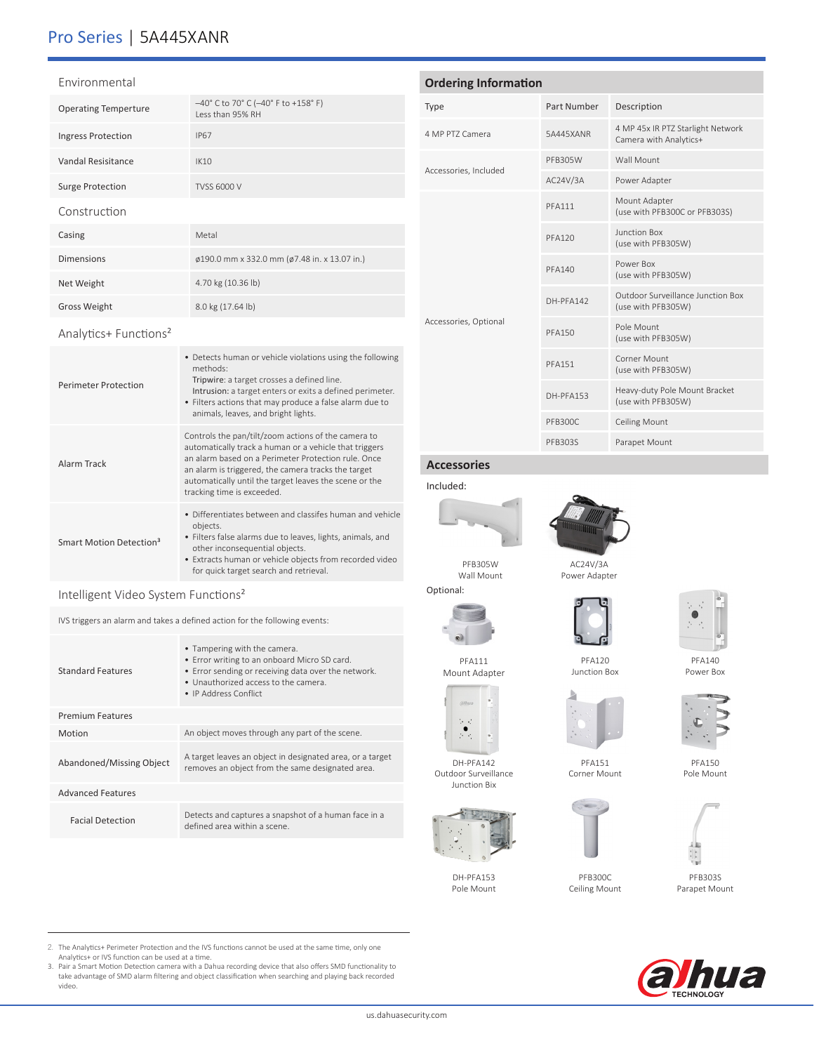# Pro Series | 5A445XANR

#### Environmental

| <b>Operating Temperture</b> | $-40^{\circ}$ C to 70° C ( $-40^{\circ}$ F to +158° F)<br>Less than 95% RH |
|-----------------------------|----------------------------------------------------------------------------|
| Ingress Protection          | <b>IP67</b>                                                                |
| Vandal Resisitance          | <b>IK10</b>                                                                |
| <b>Surge Protection</b>     | <b>TVSS 6000 V</b>                                                         |
| Construction                |                                                                            |
| Casing                      | Metal                                                                      |
| <b>Dimensions</b>           | ø190.0 mm x 332.0 mm (ø7.48 in. x 13.07 in.)                               |
| Net Weight                  | 4.70 kg (10.36 lb)                                                         |
| <b>Gross Weight</b>         | 8.0 kg (17.64 lb)                                                          |

#### Analytics+ Functions²

| <b>Perimeter Protection</b>         | • Detects human or vehicle violations using the following<br>methods:<br>Tripwire: a target crosses a defined line.<br>Intrusion: a target enters or exits a defined perimeter.<br>• Filters actions that may produce a false alarm due to<br>animals, leaves, and bright lights.                                   |
|-------------------------------------|---------------------------------------------------------------------------------------------------------------------------------------------------------------------------------------------------------------------------------------------------------------------------------------------------------------------|
| Alarm Track                         | Controls the pan/tilt/zoom actions of the camera to<br>automatically track a human or a vehicle that triggers<br>an alarm based on a Perimeter Protection rule. Once<br>an alarm is triggered, the camera tracks the target<br>automatically until the target leaves the scene or the<br>tracking time is exceeded. |
| Smart Motion Detection <sup>3</sup> | • Differentiates between and classifes human and vehicle<br>objects.<br>• Filters false alarms due to leaves, lights, animals, and<br>other inconsequential objects.<br>• Extracts human or vehicle objects from recorded video<br>for quick target search and retrieval.                                           |

### Intelligent Video System Functions²

IVS triggers an alarm and takes a defined action for the following events:

| Standard Features        | • Tampering with the camera.<br>• Error writing to an onboard Micro SD card.<br>• Error sending or receiving data over the network.<br>. Unauthorized access to the camera.<br>• IP Address Conflict |
|--------------------------|------------------------------------------------------------------------------------------------------------------------------------------------------------------------------------------------------|
| <b>Premium Features</b>  |                                                                                                                                                                                                      |
| Motion                   | An object moves through any part of the scene.                                                                                                                                                       |
| Abandoned/Missing Object | A target leaves an object in designated area, or a target<br>removes an object from the same designated area.                                                                                        |
| <b>Advanced Features</b> |                                                                                                                                                                                                      |
| <b>Facial Detection</b>  | Detects and captures a snapshot of a human face in a<br>defined area within a scene.                                                                                                                 |

### **Ordering Information**

| Type                  | Part Number    | Description                                                 |
|-----------------------|----------------|-------------------------------------------------------------|
| 4 MP PTZ Camera       | 5A445XANR      | 4 MP 45x IR PTZ Starlight Network<br>Camera with Analytics+ |
| Accessories, Included | <b>PFB305W</b> | Wall Mount                                                  |
|                       | AC24V/3A       | Power Adapter                                               |
| Accessories, Optional | <b>PFA111</b>  | Mount Adapter<br>(use with PFB300C or PFB303S)              |
|                       | <b>PFA120</b>  | Junction Box<br>(use with PFB305W)                          |
|                       | <b>PFA140</b>  | Power Box<br>(use with PFB305W)                             |
|                       | DH-PFA142      | Outdoor Surveillance Junction Box<br>(use with PFB305W)     |
|                       | <b>PFA150</b>  | Pole Mount<br>(use with PFB305W)                            |
|                       | <b>PFA151</b>  | Corner Mount<br>(use with PFB305W)                          |
|                       | DH-PFA153      | Heavy-duty Pole Mount Bracket<br>(use with PFB305W)         |
|                       | <b>PFB300C</b> | Ceiling Mount                                               |
|                       | <b>PFB303S</b> | Parapet Mount                                               |
|                       |                |                                                             |

### **Accessories**

PFB305W Wall Mount

PFA111 Mount Adapter

DH-PFA142 Outdoor Surveillance Junction Bix



Optional:





AC24V/3A Power Adapter



PFA120





PFA140 Power Box

PFA150 Pole Mount



PFA151 Corner Mount



DH-PFA153 Pole Mount

PFB300C Ceiling Mount

PFB303S Parapet Mount



2. The Analytics+ Perimeter Protection and the IVS functions cannot be used at the same time, only one Analytics+ or IVS function can be used at a time. 3. Pair a Smart Motion Detection camera with a Dahua recording device that also offers SMD functionality to

take advantage of SMD alarm filtering and object classification when searching and playing back recorded video.